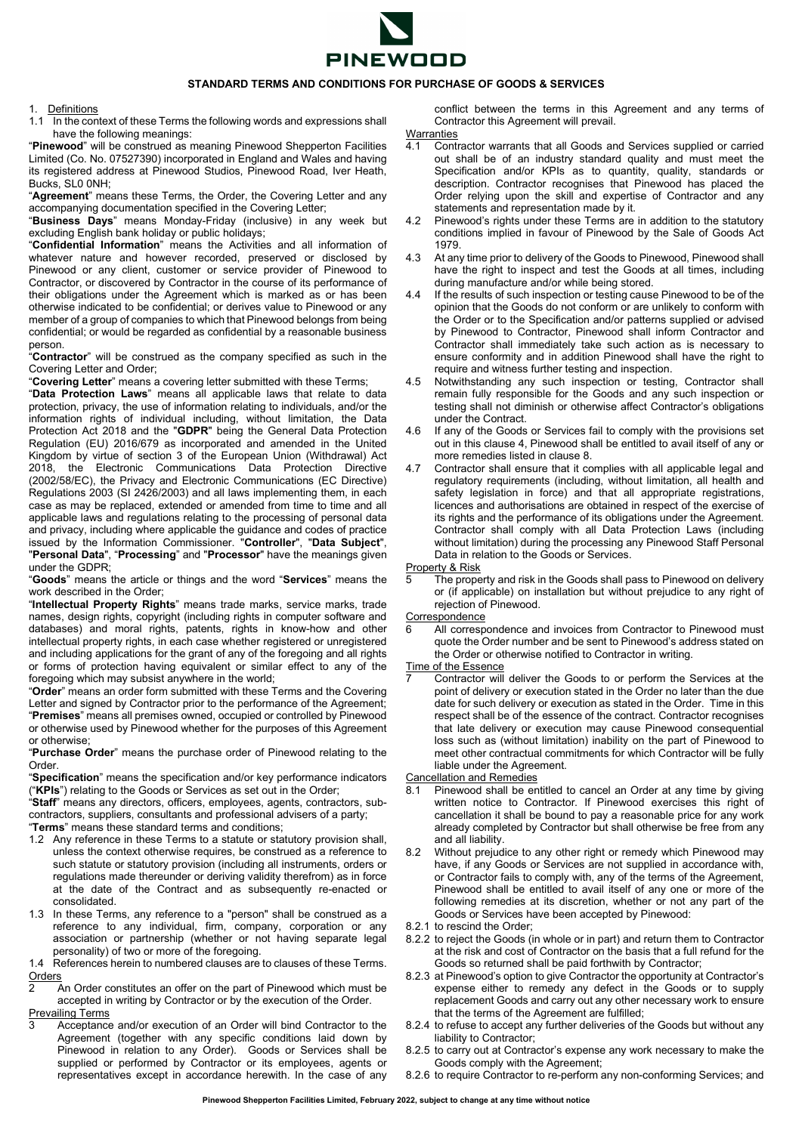

## **STANDARD TERMS AND CONDITIONS FOR PURCHASE OF GOODS & SERVICES**

## 1. Definitions

1.1 In the context of these Terms the following words and expressions shall have the following meanings:

"**Pinewood**" will be construed as meaning Pinewood Shepperton Facilities Limited (Co. No. 07527390) incorporated in England and Wales and having its registered address at Pinewood Studios, Pinewood Road, Iver Heath, Bucks, SL0 0NH;

"**Agreement**" means these Terms, the Order, the Covering Letter and any accompanying documentation specified in the Covering Letter;

"**Business Days**" means Monday-Friday (inclusive) in any week but excluding English bank holiday or public holidays;

"**Confidential Information**" means the Activities and all information of whatever nature and however recorded, preserved or disclosed by Pinewood or any client, customer or service provider of Pinewood to Contractor, or discovered by Contractor in the course of its performance of their obligations under the Agreement which is marked as or has been otherwise indicated to be confidential; or derives value to Pinewood or any member of a group of companies to which that Pinewood belongs from being confidential; or would be regarded as confidential by a reasonable business person.

"**Contractor**" will be construed as the company specified as such in the Covering Letter and Order;

"**Covering Letter**" means a covering letter submitted with these Terms;

"**Data Protection Laws**" means all applicable laws that relate to data protection, privacy, the use of information relating to individuals, and/or the information rights of individual including, without limitation, the Data Protection Act 2018 and the "**GDPR**" being the General Data Protection Regulation (EU) 2016/679 as incorporated and amended in the United Kingdom by virtue of section 3 of the European Union (Withdrawal) Act 2018, the Electronic Communications Data Protection Directive (2002/58/EC), the Privacy and Electronic Communications (EC Directive) Regulations 2003 (SI 2426/2003) and all laws implementing them, in each case as may be replaced, extended or amended from time to time and all applicable laws and regulations relating to the processing of personal data and privacy, including where applicable the guidance and codes of practice issued by the Information Commissioner. "**Controller**", "**Data Subject**", "**Personal Data**", "**Processing**" and "**Processor**" have the meanings given under the GDPR;

"**Goods**" means the article or things and the word "**Services**" means the work described in the Order;

"**Intellectual Property Rights**" means trade marks, service marks, trade names, design rights, copyright (including rights in computer software and databases) and moral rights, patents, rights in know-how and other intellectual property rights, in each case whether registered or unregistered and including applications for the grant of any of the foregoing and all rights or forms of protection having equivalent or similar effect to any of the foregoing which may subsist anywhere in the world;

"**Order**" means an order form submitted with these Terms and the Covering Letter and signed by Contractor prior to the performance of the Agreement; "**Premises**" means all premises owned, occupied or controlled by Pinewood or otherwise used by Pinewood whether for the purposes of this Agreement or otherwise;

"**Purchase Order**" means the purchase order of Pinewood relating to the Order.

"**Specification**" means the specification and/or key performance indicators ("**KPIs**") relating to the Goods or Services as set out in the Order;

"**Staff**" means any directors, officers, employees, agents, contractors, subcontractors, suppliers, consultants and professional advisers of a party; "**Terms**" means these standard terms and conditions;

- 1.2 Any reference in these Terms to a statute or statutory provision shall, unless the context otherwise requires, be construed as a reference to such statute or statutory provision (including all instruments, orders or regulations made thereunder or deriving validity therefrom) as in force at the date of the Contract and as subsequently re-enacted or consolidated.
- 1.3 In these Terms, any reference to a "person" shall be construed as a reference to any individual, firm, company, corporation or any association or partnership (whether or not having separate legal personality) of two or more of the foregoing.

1.4 References herein to numbered clauses are to clauses of these Terms. **Orders** 

2 An Order constitutes an offer on the part of Pinewood which must be accepted in writing by Contractor or by the execution of the Order. Prevailing Terms

Acceptance and/or execution of an Order will bind Contractor to the Agreement (together with any specific conditions laid down by Pinewood in relation to any Order). Goods or Services shall be supplied or performed by Contractor or its employees, agents or representatives except in accordance herewith. In the case of any

conflict between the terms in this Agreement and any terms of Contractor this Agreement will prevail.

- **Warranties**
- 4.1 Contractor warrants that all Goods and Services supplied or carried out shall be of an industry standard quality and must meet the Specification and/or KPIs as to quantity, quality, standards or description. Contractor recognises that Pinewood has placed the Order relying upon the skill and expertise of Contractor and any statements and representation made by it.
- 4.2 Pinewood's rights under these Terms are in addition to the statutory conditions implied in favour of Pinewood by the Sale of Goods Act 1979.
- 4.3 At any time prior to delivery of the Goods to Pinewood, Pinewood shall have the right to inspect and test the Goods at all times, including during manufacture and/or while being stored.
- If the results of such inspection or testing cause Pinewood to be of the opinion that the Goods do not conform or are unlikely to conform with the Order or to the Specification and/or patterns supplied or advised by Pinewood to Contractor, Pinewood shall inform Contractor and Contractor shall immediately take such action as is necessary to ensure conformity and in addition Pinewood shall have the right to require and witness further testing and inspection.
- 4.5 Notwithstanding any such inspection or testing, Contractor shall remain fully responsible for the Goods and any such inspection or testing shall not diminish or otherwise affect Contractor's obligations under the Contract.
- 4.6 If any of the Goods or Services fail to comply with the provisions set out in this clause 4, Pinewood shall be entitled to avail itself of any or more remedies listed in clause 8.
- 4.7 Contractor shall ensure that it complies with all applicable legal and regulatory requirements (including, without limitation, all health and safety legislation in force) and that all appropriate registrations, licences and authorisations are obtained in respect of the exercise of its rights and the performance of its obligations under the Agreement. Contractor shall comply with all Data Protection Laws (including without limitation) during the processing any Pinewood Staff Personal Data in relation to the Goods or Services.

Property & Risk

- The property and risk in the Goods shall pass to Pinewood on delivery or (if applicable) on installation but without prejudice to any right of rejection of Pinewood.
- Correspondence
- All correspondence and invoices from Contractor to Pinewood must quote the Order number and be sent to Pinewood's address stated on the Order or otherwise notified to Contractor in writing.
- Time of the Essence
- Contractor will deliver the Goods to or perform the Services at the point of delivery or execution stated in the Order no later than the due date for such delivery or execution as stated in the Order. Time in this respect shall be of the essence of the contract. Contractor recognises that late delivery or execution may cause Pinewood consequential loss such as (without limitation) inability on the part of Pinewood to meet other contractual commitments for which Contractor will be fully liable under the Agreement.

Cancellation and Remedies<br>8.1 Pinewood shall be en

- Pinewood shall be entitled to cancel an Order at any time by giving written notice to Contractor. If Pinewood exercises this right of cancellation it shall be bound to pay a reasonable price for any work already completed by Contractor but shall otherwise be free from any and all liability.
- 8.2 Without prejudice to any other right or remedy which Pinewood may have, if any Goods or Services are not supplied in accordance with, or Contractor fails to comply with, any of the terms of the Agreement, Pinewood shall be entitled to avail itself of any one or more of the following remedies at its discretion, whether or not any part of the Goods or Services have been accepted by Pinewood:
- 8.2.1 to rescind the Order;
- 8.2.2 to reject the Goods (in whole or in part) and return them to Contractor at the risk and cost of Contractor on the basis that a full refund for the Goods so returned shall be paid forthwith by Contractor;
- 8.2.3 at Pinewood's option to give Contractor the opportunity at Contractor's expense either to remedy any defect in the Goods or to supply replacement Goods and carry out any other necessary work to ensure that the terms of the Agreement are fulfilled;
- 8.2.4 to refuse to accept any further deliveries of the Goods but without any liability to Contractor;
- 8.2.5 to carry out at Contractor's expense any work necessary to make the Goods comply with the Agreement;
- 8.2.6 to require Contractor to re-perform any non-conforming Services; and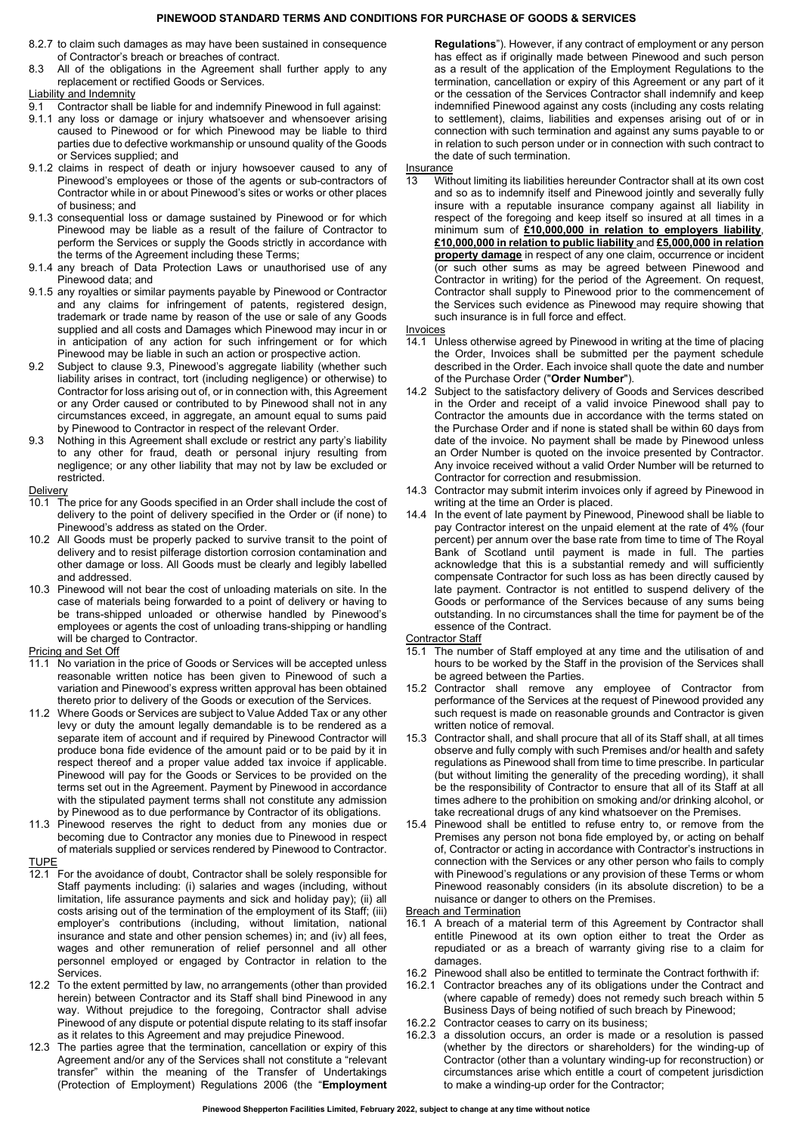## **PINEWOOD STANDARD TERMS AND CONDITIONS FOR PURCHASE OF GOODS & SERVICES**

- 8.2.7 to claim such damages as may have been sustained in consequence of Contractor's breach or breaches of contract.
- 8.3 All of the obligations in the Agreement shall further apply to any replacement or rectified Goods or Services.

## Liability and Indemnity

- 9.1 Contractor shall be liable for and indemnify Pinewood in full against:
- 9.1.1 any loss or damage or injury whatsoever and whensoever arising caused to Pinewood or for which Pinewood may be liable to third parties due to defective workmanship or unsound quality of the Goods or Services supplied; and
- 9.1.2 claims in respect of death or injury howsoever caused to any of Pinewood's employees or those of the agents or sub-contractors of Contractor while in or about Pinewood's sites or works or other places of business; and
- 9.1.3 consequential loss or damage sustained by Pinewood or for which Pinewood may be liable as a result of the failure of Contractor to perform the Services or supply the Goods strictly in accordance with the terms of the Agreement including these Terms;
- 9.1.4 any breach of Data Protection Laws or unauthorised use of any Pinewood data; and
- 9.1.5 any royalties or similar payments payable by Pinewood or Contractor and any claims for infringement of patents, registered design, trademark or trade name by reason of the use or sale of any Goods supplied and all costs and Damages which Pinewood may incur in or in anticipation of any action for such infringement or for which Pinewood may be liable in such an action or prospective action.
- 9.2 Subject to clause 9.3, Pinewood's aggregate liability (whether such liability arises in contract, tort (including negligence) or otherwise) to Contractor for loss arising out of, or in connection with, this Agreement or any Order caused or contributed to by Pinewood shall not in any circumstances exceed, in aggregate, an amount equal to sums paid by Pinewood to Contractor in respect of the relevant Order.
- 9.3 Nothing in this Agreement shall exclude or restrict any party's liability to any other for fraud, death or personal injury resulting from negligence; or any other liability that may not by law be excluded or restricted.

#### **Delivery**

- 10.1 The price for any Goods specified in an Order shall include the cost of delivery to the point of delivery specified in the Order or (if none) to Pinewood's address as stated on the Order.
- 10.2 All Goods must be properly packed to survive transit to the point of delivery and to resist pilferage distortion corrosion contamination and other damage or loss. All Goods must be clearly and legibly labelled and addressed.
- 10.3 Pinewood will not bear the cost of unloading materials on site. In the case of materials being forwarded to a point of delivery or having to be trans-shipped unloaded or otherwise handled by Pinewood's employees or agents the cost of unloading trans-shipping or handling will be charged to Contractor.

#### Pricing and Set Off

- 11.1 No variation in the price of Goods or Services will be accepted unless reasonable written notice has been given to Pinewood of such a variation and Pinewood's express written approval has been obtained thereto prior to delivery of the Goods or execution of the Services.
- 11.2 Where Goods or Services are subject to Value Added Tax or any other levy or duty the amount legally demandable is to be rendered as a separate item of account and if required by Pinewood Contractor will produce bona fide evidence of the amount paid or to be paid by it in respect thereof and a proper value added tax invoice if applicable. Pinewood will pay for the Goods or Services to be provided on the terms set out in the Agreement. Payment by Pinewood in accordance with the stipulated payment terms shall not constitute any admission by Pinewood as to due performance by Contractor of its obligations.
- 11.3 Pinewood reserves the right to deduct from any monies due or becoming due to Contractor any monies due to Pinewood in respect of materials supplied or services rendered by Pinewood to Contractor.

TUPE

- 12.1 For the avoidance of doubt, Contractor shall be solely responsible for Staff payments including: (i) salaries and wages (including, without limitation, life assurance payments and sick and holiday pay); (ii) all costs arising out of the termination of the employment of its Staff; (iii) employer's contributions (including, without limitation, national insurance and state and other pension schemes) in; and (iv) all fees, wages and other remuneration of relief personnel and all other personnel employed or engaged by Contractor in relation to the Services.
- 12.2 To the extent permitted by law, no arrangements (other than provided herein) between Contractor and its Staff shall bind Pinewood in any way. Without prejudice to the foregoing, Contractor shall advise Pinewood of any dispute or potential dispute relating to its staff insofar as it relates to this Agreement and may prejudice Pinewood.
- 12.3 The parties agree that the termination, cancellation or expiry of this Agreement and/or any of the Services shall not constitute a "relevant transfer" within the meaning of the Transfer of Undertakings (Protection of Employment) Regulations 2006 (the "**Employment**

**Regulations**"). However, if any contract of employment or any person has effect as if originally made between Pinewood and such person as a result of the application of the Employment Regulations to the termination, cancellation or expiry of this Agreement or any part of it or the cessation of the Services Contractor shall indemnify and keep indemnified Pinewood against any costs (including any costs relating to settlement), claims, liabilities and expenses arising out of or in connection with such termination and against any sums payable to or in relation to such person under or in connection with such contract to the date of such termination.

- **Insurance**
- 13 Without limiting its liabilities hereunder Contractor shall at its own cost and so as to indemnify itself and Pinewood jointly and severally fully insure with a reputable insurance company against all liability in respect of the foregoing and keep itself so insured at all times in a minimum sum of **£10,000,000 in relation to employers liability**, **£10,000,000 in relation to public liability** and **£5,000,000 in relation property damage** in respect of any one claim, occurrence or incident (or such other sums as may be agreed between Pinewood and Contractor in writing) for the period of the Agreement. On request, Contractor shall supply to Pinewood prior to the commencement of the Services such evidence as Pinewood may require showing that such insurance is in full force and effect.

#### Invoices

- 14.1 Unless otherwise agreed by Pinewood in writing at the time of placing the Order, Invoices shall be submitted per the payment schedule described in the Order. Each invoice shall quote the date and number of the Purchase Order ("**Order Number**").
- 14.2 Subject to the satisfactory delivery of Goods and Services described in the Order and receipt of a valid invoice Pinewood shall pay to Contractor the amounts due in accordance with the terms stated on the Purchase Order and if none is stated shall be within 60 days from date of the invoice. No payment shall be made by Pinewood unless an Order Number is quoted on the invoice presented by Contractor. Any invoice received without a valid Order Number will be returned to Contractor for correction and resubmission.
- 14.3 Contractor may submit interim invoices only if agreed by Pinewood in writing at the time an Order is placed.
- 14.4 In the event of late payment by Pinewood, Pinewood shall be liable to pay Contractor interest on the unpaid element at the rate of 4% (four percent) per annum over the base rate from time to time of The Royal Bank of Scotland until payment is made in full. The parties acknowledge that this is a substantial remedy and will sufficiently compensate Contractor for such loss as has been directly caused by late payment. Contractor is not entitled to suspend delivery of the Goods or performance of the Services because of any sums being outstanding. In no circumstances shall the time for payment be of the essence of the Contract.

Contractor Staff

- 15.1 The number of Staff employed at any time and the utilisation of and hours to be worked by the Staff in the provision of the Services shall be agreed between the Parties.
- 15.2 Contractor shall remove any employee of Contractor from performance of the Services at the request of Pinewood provided any such request is made on reasonable grounds and Contractor is given written notice of removal.
- 15.3 Contractor shall, and shall procure that all of its Staff shall, at all times observe and fully comply with such Premises and/or health and safety regulations as Pinewood shall from time to time prescribe. In particular (but without limiting the generality of the preceding wording), it shall be the responsibility of Contractor to ensure that all of its Staff at all times adhere to the prohibition on smoking and/or drinking alcohol, or take recreational drugs of any kind whatsoever on the Premises.
- 15.4 Pinewood shall be entitled to refuse entry to, or remove from the Premises any person not bona fide employed by, or acting on behalf of, Contractor or acting in accordance with Contractor's instructions in connection with the Services or any other person who fails to comply with Pinewood's regulations or any provision of these Terms or whom Pinewood reasonably considers (in its absolute discretion) to be a nuisance or danger to others on the Premises.

**Breach and Termination** 

- 16.1 A breach of a material term of this Agreement by Contractor shall entitle Pinewood at its own option either to treat the Order as repudiated or as a breach of warranty giving rise to a claim for damages.
- 16.2 Pinewood shall also be entitled to terminate the Contract forthwith if:
- 16.2.1 Contractor breaches any of its obligations under the Contract and (where capable of remedy) does not remedy such breach within 5 Business Days of being notified of such breach by Pinewood;
- 16.2.2 Contractor ceases to carry on its business;
- 16.2.3 a dissolution occurs, an order is made or a resolution is passed (whether by the directors or shareholders) for the winding-up of Contractor (other than a voluntary winding-up for reconstruction) or circumstances arise which entitle a court of competent jurisdiction to make a winding-up order for the Contractor;